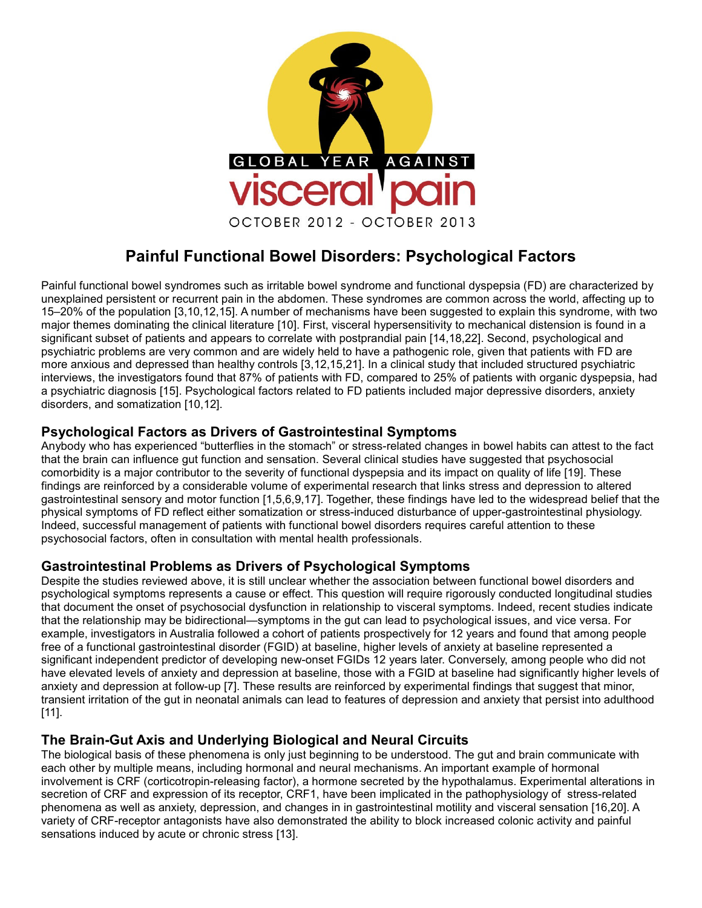

# **Painful Functional Bowel Disorders: Psychological Factors**

Painful functional bowel syndromes such as irritable bowel syndrome and functional dyspepsia (FD) are characterized by unexplained persistent or recurrent pain in the abdomen. These syndromes are common across the world, affecting up to 15–20% of the population [3,10,12,15]. A number of mechanisms have been suggested to explain this syndrome, with two major themes dominating the clinical literature [10]. First, visceral hypersensitivity to mechanical distension is found in a significant subset of patients and appears to correlate with postprandial pain [14,18,22]. Second, psychological and psychiatric problems are very common and are widely held to have a pathogenic role, given that patients with FD are more anxious and depressed than healthy controls [3,12,15,21]. In a clinical study that included structured psychiatric interviews, the investigators found that 87% of patients with FD, compared to 25% of patients with organic dyspepsia, had a psychiatric diagnosis [15]. Psychological factors related to FD patients included major depressive disorders, anxiety disorders, and somatization [10,12].

## **Psychological Factors as Drivers of Gastrointestinal Symptoms**

Anybody who has experienced "butterflies in the stomach" or stress-related changes in bowel habits can attest to the fact that the brain can influence gut function and sensation. Several clinical studies have suggested that psychosocial comorbidity is a major contributor to the severity of functional dyspepsia and its impact on quality of life [19]. These findings are reinforced by a considerable volume of experimental research that links stress and depression to altered gastrointestinal sensory and motor function [1,5,6,9,17]. Together, these findings have led to the widespread belief that the physical symptoms of FD reflect either somatization or stress-induced disturbance of upper-gastrointestinal physiology. Indeed, successful management of patients with functional bowel disorders requires careful attention to these psychosocial factors, often in consultation with mental health professionals.

#### **Gastrointestinal Problems as Drivers of Psychological Symptoms**

Despite the studies reviewed above, it is still unclear whether the association between functional bowel disorders and psychological symptoms represents a cause or effect. This question will require rigorously conducted longitudinal studies that document the onset of psychosocial dysfunction in relationship to visceral symptoms. Indeed, recent studies indicate that the relationship may be bidirectional—symptoms in the gut can lead to psychological issues, and vice versa. For example, investigators in Australia followed a cohort of patients prospectively for 12 years and found that among people free of a functional gastrointestinal disorder (FGID) at baseline, higher levels of anxiety at baseline represented a significant independent predictor of developing new-onset FGIDs 12 years later. Conversely, among people who did not have elevated levels of anxiety and depression at baseline, those with a FGID at baseline had significantly higher levels of anxiety and depression at follow-up [7]. These results are reinforced by experimental findings that suggest that minor, transient irritation of the gut in neonatal animals can lead to features of depression and anxiety that persist into adulthood [11].

## **The Brain-Gut Axis and Underlying Biological and Neural Circuits**

The biological basis of these phenomena is only just beginning to be understood. The gut and brain communicate with each other by multiple means, including hormonal and neural mechanisms. An important example of hormonal involvement is CRF (corticotropin-releasing factor), a hormone secreted by the hypothalamus. Experimental alterations in secretion of CRF and expression of its receptor, CRF1, have been implicated in the pathophysiology of stress-related phenomena as well as anxiety, depression, and changes in in gastrointestinal motility and visceral sensation [16,20]. A variety of CRF-receptor antagonists have also demonstrated the ability to block increased colonic activity and painful sensations induced by acute or chronic stress [13].